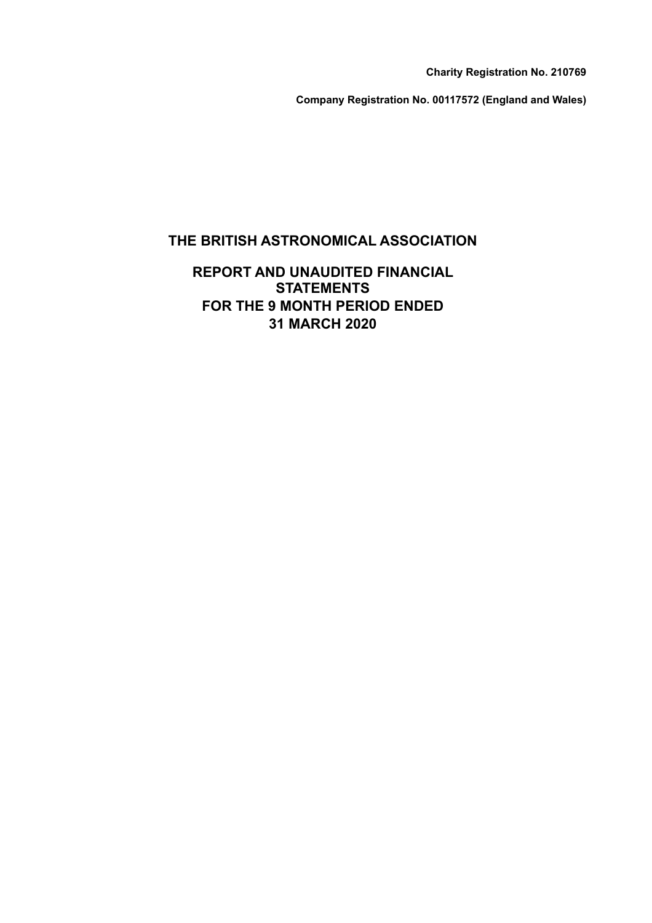**Charity Registration No. 210769**

**Company Registration No. 00117572 (England and Wales)**

### **THE BRITISH ASTRONOMICAL ASSOCIATION**

### **REPORT AND UNAUDITED FINANCIAL STATEMENTS FOR THE 9 MONTH PERIOD ENDED 31 MARCH 2020**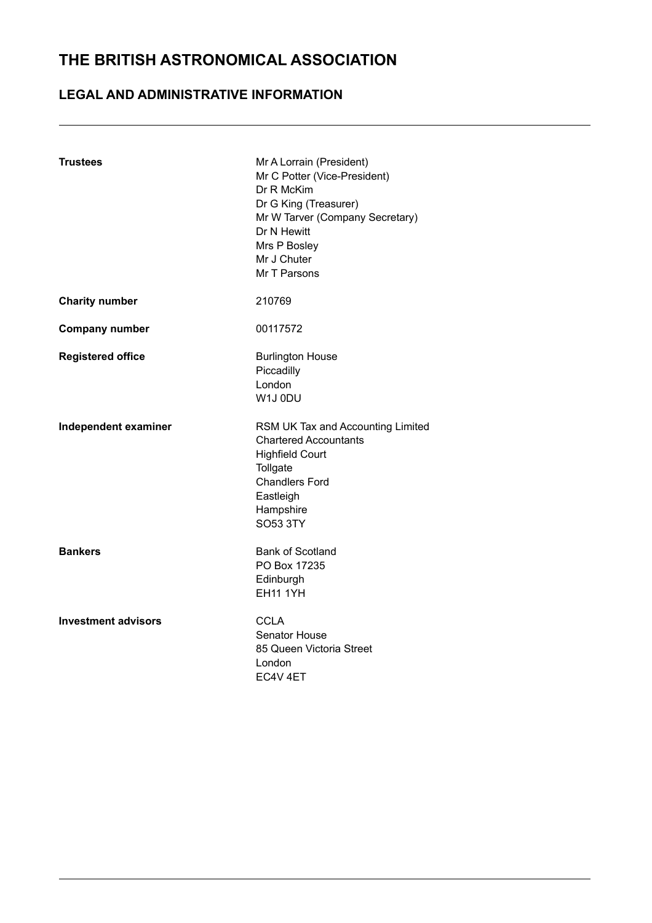### **LEGAL AND ADMINISTRATIVE INFORMATION**

| <b>Trustees</b>            | Mr A Lorrain (President)<br>Mr C Potter (Vice-President)<br>Dr R McKim<br>Dr G King (Treasurer)<br>Mr W Tarver (Company Secretary)<br>Dr N Hewitt<br>Mrs P Bosley<br>Mr J Chuter<br>Mr T Parsons |
|----------------------------|--------------------------------------------------------------------------------------------------------------------------------------------------------------------------------------------------|
| <b>Charity number</b>      | 210769                                                                                                                                                                                           |
| <b>Company number</b>      | 00117572                                                                                                                                                                                         |
| <b>Registered office</b>   | <b>Burlington House</b><br>Piccadilly<br>London<br>W1J0DU                                                                                                                                        |
| Independent examiner       | RSM UK Tax and Accounting Limited<br><b>Chartered Accountants</b><br><b>Highfield Court</b><br>Tollgate<br><b>Chandlers Ford</b><br>Eastleigh<br>Hampshire<br>SO53 3TY                           |
| <b>Bankers</b>             | <b>Bank of Scotland</b><br>PO Box 17235<br>Edinburgh<br><b>EH11 1YH</b>                                                                                                                          |
| <b>Investment advisors</b> | <b>CCLA</b><br><b>Senator House</b><br>85 Queen Victoria Street<br>London<br>EC4V 4ET                                                                                                            |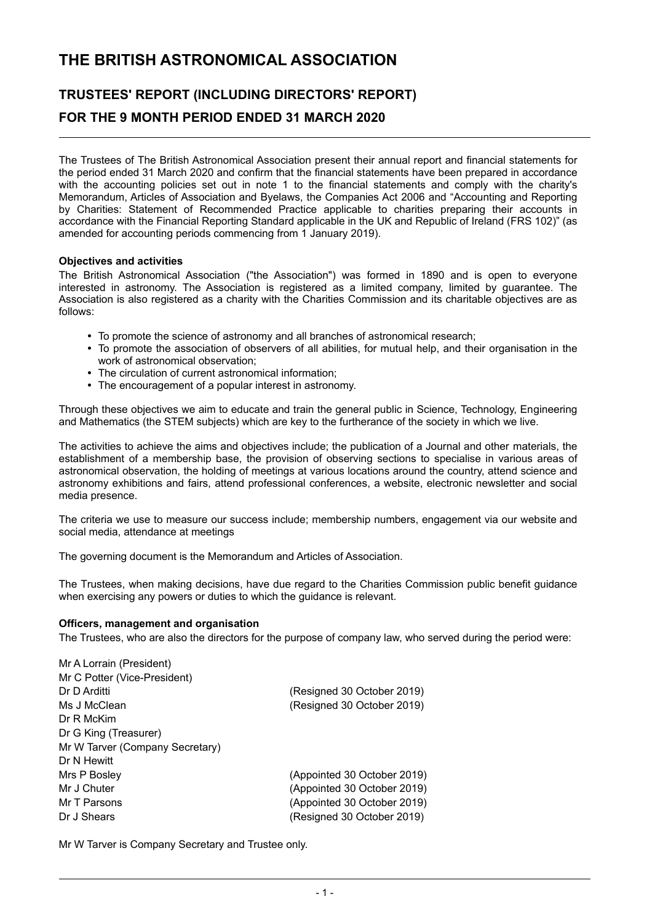# **TRUSTEES' REPORT (INCLUDING DIRECTORS' REPORT) FOR THE 9 MONTH PERIOD ENDED 31 MARCH 2020**

The Trustees of The British Astronomical Association present their annual report and financial statements for the period ended 31 March 2020 and confirm that the financial statements have been prepared in accordance with the accounting policies set out in note 1 to the financial statements and comply with the charity's Memorandum, Articles of Association and Byelaws, the Companies Act 2006 and "Accounting and Reporting by Charities: Statement of Recommended Practice applicable to charities preparing their accounts in accordance with the Financial Reporting Standard applicable in the UK and Republic of Ireland (FRS 102)" (as amended for accounting periods commencing from 1 January 2019).

#### **Objectives and activities**

The British Astronomical Association ("the Association") was formed in 1890 and is open to everyone interested in astronomy. The Association is registered as a limited company, limited by guarantee. The Association is also registered as a charity with the Charities Commission and its charitable objectives are as follows:

- To promote the science of astronomy and all branches of astronomical research;
- To promote the association of observers of all abilities, for mutual help, and their organisation in the work of astronomical observation;
- The circulation of current astronomical information;
- The encouragement of a popular interest in astronomy.

Through these objectives we aim to educate and train the general public in Science, Technology, Engineering and Mathematics (the STEM subjects) which are key to the furtherance of the society in which we live.

The activities to achieve the aims and objectives include; the publication of a Journal and other materials, the establishment of a membership base, the provision of observing sections to specialise in various areas of astronomical observation, the holding of meetings at various locations around the country, attend science and astronomy exhibitions and fairs, attend professional conferences, a website, electronic newsletter and social media presence.

The criteria we use to measure our success include; membership numbers, engagement via our website and social media, attendance at meetings

The governing document is the Memorandum and Articles of Association.

The Trustees, when making decisions, have due regard to the Charities Commission public benefit guidance when exercising any powers or duties to which the guidance is relevant.

#### **Officers, management and organisation**

The Trustees, who are also the directors for the purpose of company law, who served during the period were:

| Mr A Lorrain (President)        |                             |
|---------------------------------|-----------------------------|
| Mr C Potter (Vice-President)    |                             |
| Dr D Arditti                    | (Resigned 30 October 2019)  |
| Ms J McClean                    | (Resigned 30 October 2019)  |
| Dr R McKim                      |                             |
| Dr G King (Treasurer)           |                             |
| Mr W Tarver (Company Secretary) |                             |
| Dr N Hewitt                     |                             |
| Mrs P Bosley                    | (Appointed 30 October 2019) |
| Mr J Chuter                     | (Appointed 30 October 2019) |
| Mr T Parsons                    | (Appointed 30 October 2019) |
| Dr J Shears                     | (Resigned 30 October 2019)  |
|                                 |                             |

Mr W Tarver is Company Secretary and Trustee only.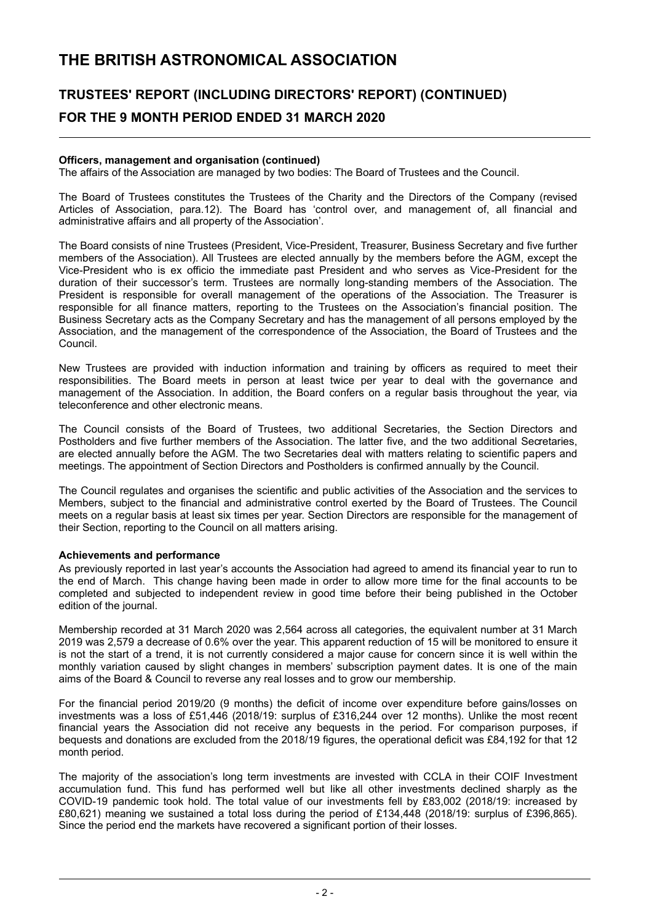### **TRUSTEES' REPORT (INCLUDING DIRECTORS' REPORT) (CONTINUED) FOR THE 9 MONTH PERIOD ENDED 31 MARCH 2020**

#### **Officers, management and organisation (continued)**

The affairs of the Association are managed by two bodies: The Board of Trustees and the Council.

The Board of Trustees constitutes the Trustees of the Charity and the Directors of the Company (revised Articles of Association, para.12). The Board has 'control over, and management of, all financial and administrative affairs and all property of the Association'.

The Board consists of nine Trustees (President, Vice-President, Treasurer, Business Secretary and five further members of the Association). All Trustees are elected annually by the members before the AGM, except the Vice-President who is ex officio the immediate past President and who serves as Vice-President for the duration of their successor's term. Trustees are normally long-standing members of the Association. The President is responsible for overall management of the operations of the Association. The Treasurer is responsible for all finance matters, reporting to the Trustees on the Association's financial position. The Business Secretary acts as the Company Secretary and has the management of all persons employed by the Association, and the management of the correspondence of the Association, the Board of Trustees and the Council.

New Trustees are provided with induction information and training by officers as required to meet their responsibilities. The Board meets in person at least twice per year to deal with the governance and management of the Association. In addition, the Board confers on a regular basis throughout the year, via teleconference and other electronic means.

The Council consists of the Board of Trustees, two additional Secretaries, the Section Directors and Postholders and five further members of the Association. The latter five, and the two additional Secretaries, are elected annually before the AGM. The two Secretaries deal with matters relating to scientific papers and meetings. The appointment of Section Directors and Postholders is confirmed annually by the Council.

The Council regulates and organises the scientific and public activities of the Association and the services to Members, subject to the financial and administrative control exerted by the Board of Trustees. The Council meets on a regular basis at least six times per year. Section Directors are responsible for the management of their Section, reporting to the Council on all matters arising.

#### **Achievements and performance**

As previously reported in last year's accounts the Association had agreed to amend its financial year to run to the end of March. This change having been made in order to allow more time for the final accounts to be completed and subjected to independent review in good time before their being published in the October edition of the journal.

Membership recorded at 31 March 2020 was 2,564 across all categories, the equivalent number at 31 March 2019 was 2,579 a decrease of 0.6% over the year. This apparent reduction of 15 will be monitored to ensure it is not the start of a trend, it is not currently considered a major cause for concern since it is well within the monthly variation caused by slight changes in members' subscription payment dates. It is one of the main aims of the Board & Council to reverse any real losses and to grow our membership.

For the financial period 2019/20 (9 months) the deficit of income over expenditure before gains/losses on investments was a loss of £51,446 (2018/19: surplus of £316,244 over 12 months). Unlike the most recent financial years the Association did not receive any bequests in the period. For comparison purposes, if bequests and donations are excluded from the 2018/19 figures, the operational deficit was £84,192 for that 12 month period.

The majority of the association's long term investments are invested with CCLA in their COIF Investment accumulation fund. This fund has performed well but like all other investments declined sharply as the COVID-19 pandemic took hold. The total value of our investments fell by £83,002 (2018/19: increased by £80,621) meaning we sustained a total loss during the period of £134,448 (2018/19: surplus of £396,865). Since the period end the markets have recovered a significant portion of their losses.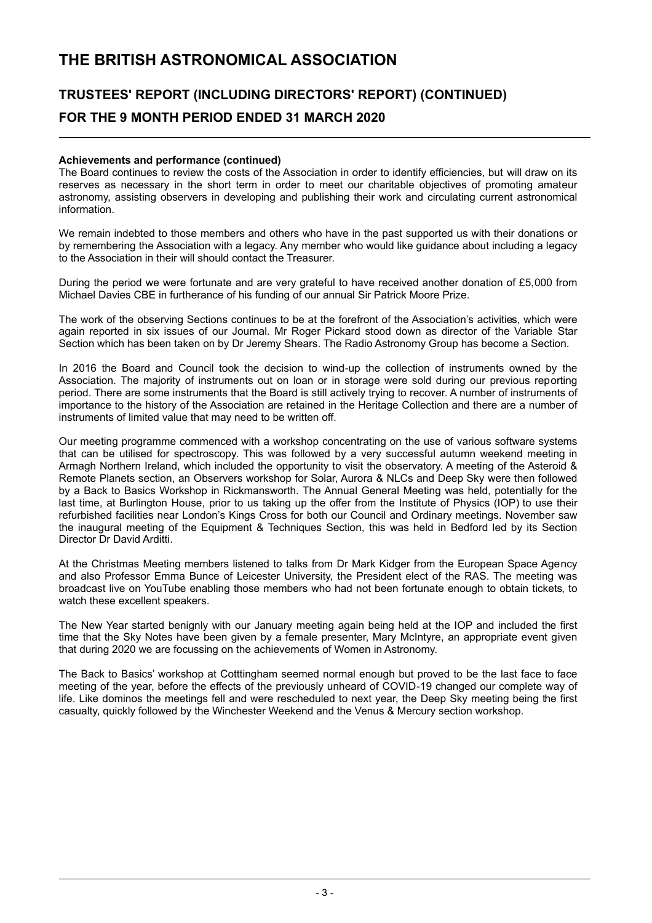### **TRUSTEES' REPORT (INCLUDING DIRECTORS' REPORT) (CONTINUED) FOR THE 9 MONTH PERIOD ENDED 31 MARCH 2020**

#### **Achievements and performance (continued)**

The Board continues to review the costs of the Association in order to identify efficiencies, but will draw on its reserves as necessary in the short term in order to meet our charitable objectives of promoting amateur astronomy, assisting observers in developing and publishing their work and circulating current astronomical information.

We remain indebted to those members and others who have in the past supported us with their donations or by remembering the Association with a legacy. Any member who would like guidance about including a legacy to the Association in their will should contact the Treasurer.

During the period we were fortunate and are very grateful to have received another donation of £5,000 from Michael Davies CBE in furtherance of his funding of our annual Sir Patrick Moore Prize.

The work of the observing Sections continues to be at the forefront of the Association's activities, which were again reported in six issues of our Journal. Mr Roger Pickard stood down as director of the Variable Star Section which has been taken on by Dr Jeremy Shears. The Radio Astronomy Group has become a Section.

In 2016 the Board and Council took the decision to wind-up the collection of instruments owned by the Association. The majority of instruments out on loan or in storage were sold during our previous reporting period. There are some instruments that the Board is still actively trying to recover. A number of instruments of importance to the history of the Association are retained in the Heritage Collection and there are a number of instruments of limited value that may need to be written off.

Our meeting programme commenced with a workshop concentrating on the use of various software systems that can be utilised for spectroscopy. This was followed by a very successful autumn weekend meeting in Armagh Northern Ireland, which included the opportunity to visit the observatory. A meeting of the Asteroid & Remote Planets section, an Observers workshop for Solar, Aurora & NLCs and Deep Sky were then followed by a Back to Basics Workshop in Rickmansworth. The Annual General Meeting was held, potentially for the last time, at Burlington House, prior to us taking up the offer from the Institute of Physics (IOP) to use their refurbished facilities near London's Kings Cross for both our Council and Ordinary meetings. November saw the inaugural meeting of the Equipment & Techniques Section, this was held in Bedford led by its Section Director Dr David Arditti.

At the Christmas Meeting members listened to talks from Dr Mark Kidger from the European Space Agency and also Professor Emma Bunce of Leicester University, the President elect of the RAS. The meeting was broadcast live on YouTube enabling those members who had not been fortunate enough to obtain tickets, to watch these excellent speakers.

The New Year started benignly with our January meeting again being held at the IOP and included the first time that the Sky Notes have been given by a female presenter, Mary McIntyre, an appropriate event given that during 2020 we are focussing on the achievements of Women in Astronomy.

The Back to Basics' workshop at Cotttingham seemed normal enough but proved to be the last face to face meeting of the year, before the effects of the previously unheard of COVID-19 changed our complete way of life. Like dominos the meetings fell and were rescheduled to next year, the Deep Sky meeting being the first casualty, quickly followed by the Winchester Weekend and the Venus & Mercury section workshop.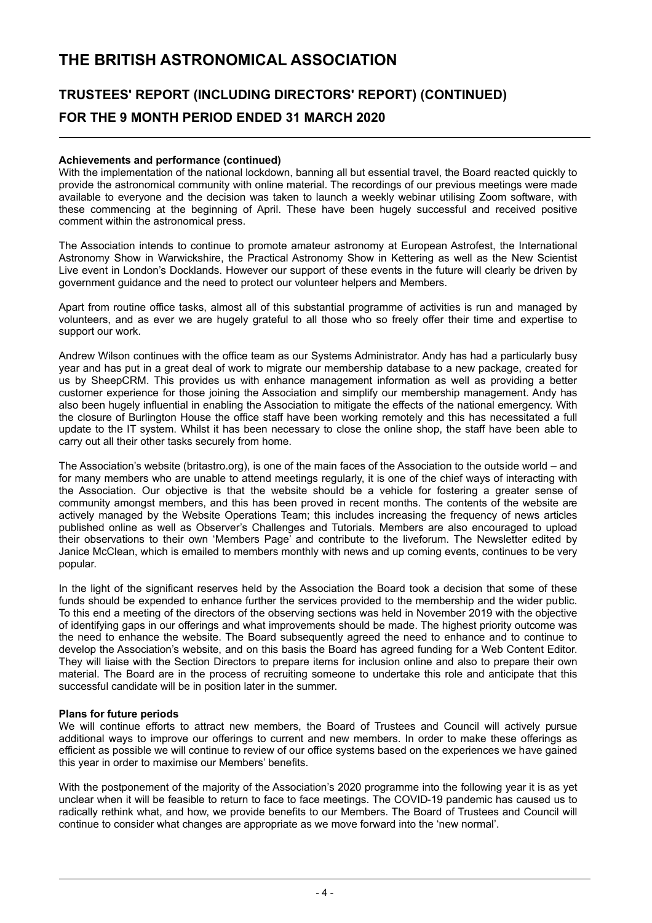### **TRUSTEES' REPORT (INCLUDING DIRECTORS' REPORT) (CONTINUED) FOR THE 9 MONTH PERIOD ENDED 31 MARCH 2020**

#### **Achievements and performance (continued)**

With the implementation of the national lockdown, banning all but essential travel, the Board reacted quickly to provide the astronomical community with online material. The recordings of our previous meetings were made available to everyone and the decision was taken to launch a weekly webinar utilising Zoom software, with these commencing at the beginning of April. These have been hugely successful and received positive comment within the astronomical press.

The Association intends to continue to promote amateur astronomy at European Astrofest, the International Astronomy Show in Warwickshire, the Practical Astronomy Show in Kettering as well as the New Scientist Live event in London's Docklands. However our support of these events in the future will clearly be driven by government guidance and the need to protect our volunteer helpers and Members.

Apart from routine office tasks, almost all of this substantial programme of activities is run and managed by volunteers, and as ever we are hugely grateful to all those who so freely offer their time and expertise to support our work.

Andrew Wilson continues with the office team as our Systems Administrator. Andy has had a particularly busy year and has put in a great deal of work to migrate our membership database to a new package, created for us by SheepCRM. This provides us with enhance management information as well as providing a better customer experience for those joining the Association and simplify our membership management. Andy has also been hugely influential in enabling the Association to mitigate the effects of the national emergency. With the closure of Burlington House the office staff have been working remotely and this has necessitated a full update to the IT system. Whilst it has been necessary to close the online shop, the staff have been able to carry out all their other tasks securely from home.

The Association's website (britastro.org), is one of the main faces of the Association to the outside world – and for many members who are unable to attend meetings regularly, it is one of the chief ways of interacting with the Association. Our objective is that the website should be a vehicle for fostering a greater sense of community amongst members, and this has been proved in recent months. The contents of the website are actively managed by the Website Operations Team; this includes increasing the frequency of news articles published online as well as Observer's Challenges and Tutorials. Members are also encouraged to upload their observations to their own 'Members Page' and contribute to the liveforum. The Newsletter edited by Janice McClean, which is emailed to members monthly with news and up coming events, continues to be very popular.

In the light of the significant reserves held by the Association the Board took a decision that some of these funds should be expended to enhance further the services provided to the membership and the wider public. To this end a meeting of the directors of the observing sections was held in November 2019 with the objective of identifying gaps in our offerings and what improvements should be made. The highest priority outcome was the need to enhance the website. The Board subsequently agreed the need to enhance and to continue to develop the Association's website, and on this basis the Board has agreed funding for a Web Content Editor. They will liaise with the Section Directors to prepare items for inclusion online and also to prepare their own material. The Board are in the process of recruiting someone to undertake this role and anticipate that this successful candidate will be in position later in the summer.

#### **Plans for future periods**

We will continue efforts to attract new members, the Board of Trustees and Council will actively pursue additional ways to improve our offerings to current and new members. In order to make these offerings as efficient as possible we will continue to review of our office systems based on the experiences we have gained this year in order to maximise our Members' benefits.

With the postponement of the majority of the Association's 2020 programme into the following year it is as yet unclear when it will be feasible to return to face to face meetings. The COVID-19 pandemic has caused us to radically rethink what, and how, we provide benefits to our Members. The Board of Trustees and Council will continue to consider what changes are appropriate as we move forward into the 'new normal'.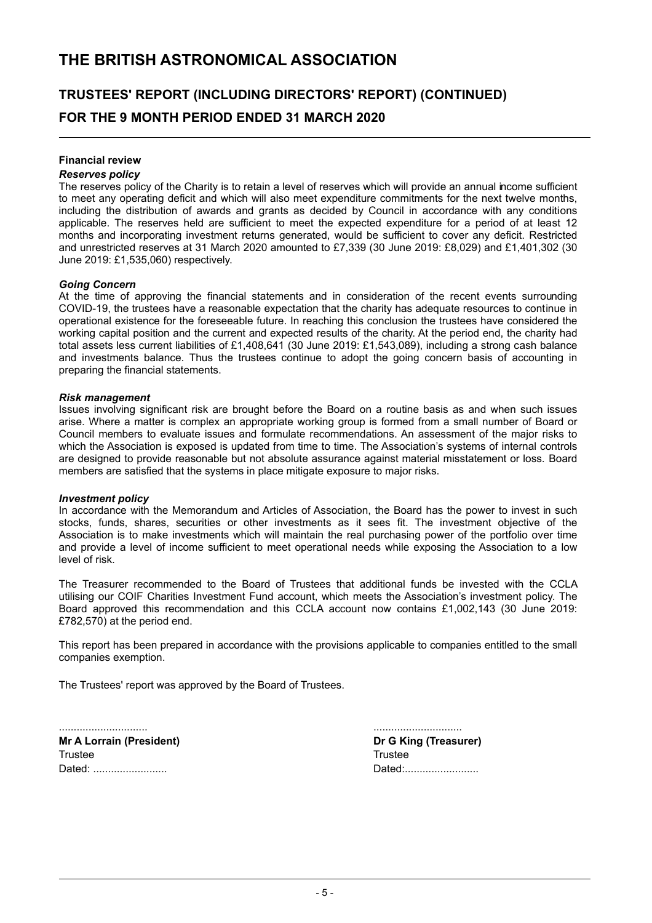# **TRUSTEES' REPORT (INCLUDING DIRECTORS' REPORT) (CONTINUED) FOR THE 9 MONTH PERIOD ENDED 31 MARCH 2020**

#### **Financial review**

#### *Reserves policy*

The reserves policy of the Charity is to retain a level of reserves which will provide an annual income sufficient to meet any operating deficit and which will also meet expenditure commitments for the next twelve months, including the distribution of awards and grants as decided by Council in accordance with any conditions applicable. The reserves held are sufficient to meet the expected expenditure for a period of at least 12 months and incorporating investment returns generated, would be sufficient to cover any deficit. Restricted and unrestricted reserves at 31 March 2020 amounted to £7,339 (30 June 2019: £8,029) and £1,401,302 (30 June 2019: £1,535,060) respectively.

#### *Going Concern*

At the time of approving the financial statements and in consideration of the recent events surrounding COVID-19, the trustees have a reasonable expectation that the charity has adequate resources to continue in operational existence for the foreseeable future. In reaching this conclusion the trustees have considered the working capital position and the current and expected results of the charity. At the period end, the charity had total assets less current liabilities of £1,408,641 (30 June 2019: £1,543,089), including a strong cash balance and investments balance. Thus the trustees continue to adopt the going concern basis of accounting in preparing the financial statements.

#### *Risk management*

Issues involving significant risk are brought before the Board on a routine basis as and when such issues arise. Where a matter is complex an appropriate working group is formed from a small number of Board or Council members to evaluate issues and formulate recommendations. An assessment of the major risks to which the Association is exposed is updated from time to time. The Association's systems of internal controls are designed to provide reasonable but not absolute assurance against material misstatement or loss. Board members are satisfied that the systems in place mitigate exposure to major risks.

#### *Investment policy*

In accordance with the Memorandum and Articles of Association, the Board has the power to invest in such stocks, funds, shares, securities or other investments as it sees fit. The investment objective of the Association is to make investments which will maintain the real purchasing power of the portfolio over time and provide a level of income sufficient to meet operational needs while exposing the Association to a low level of risk.

The Treasurer recommended to the Board of Trustees that additional funds be invested with the CCLA utilising our COIF Charities Investment Fund account, which meets the Association's investment policy. The Board approved this recommendation and this CCLA account now contains £1,002,143 (30 June 2019: £782,570) at the period end.

This report has been prepared in accordance with the provisions applicable to companies entitled to the small companies exemption.

The Trustees' report was approved by the Board of Trustees.

**Mr A Lorrain (President) Dr G King (Treasurer)** Trustee Trustee

.............................. .............................. Dated: ......................... Dated:.........................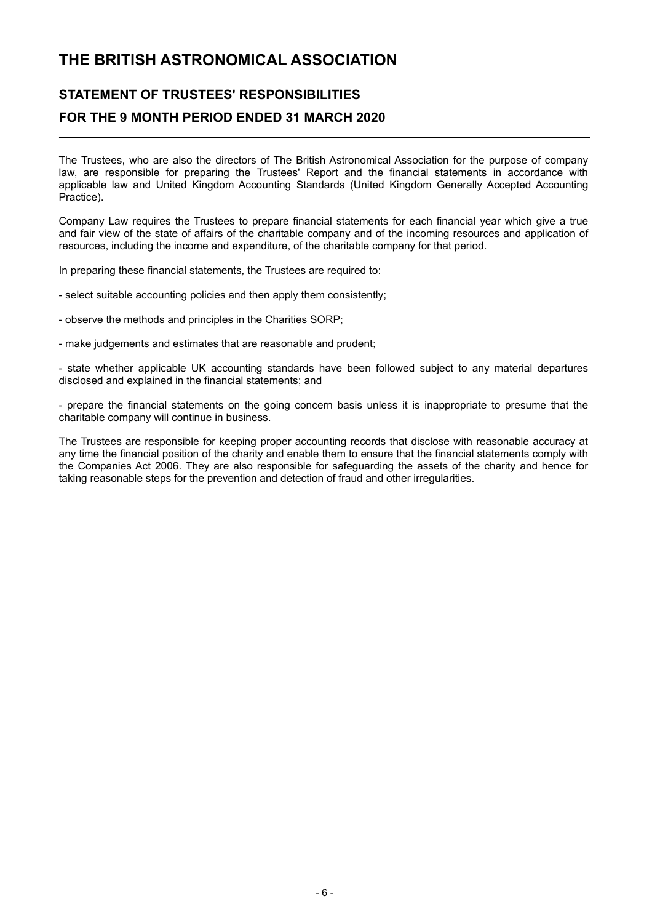### **STATEMENT OF TRUSTEES' RESPONSIBILITIES FOR THE 9 MONTH PERIOD ENDED 31 MARCH 2020**

The Trustees, who are also the directors of The British Astronomical Association for the purpose of company law, are responsible for preparing the Trustees' Report and the financial statements in accordance with applicable law and United Kingdom Accounting Standards (United Kingdom Generally Accepted Accounting Practice).

Company Law requires the Trustees to prepare financial statements for each financial year which give a true and fair view of the state of affairs of the charitable company and of the incoming resources and application of resources, including the income and expenditure, of the charitable company for that period.

In preparing these financial statements, the Trustees are required to:

- select suitable accounting policies and then apply them consistently;

- observe the methods and principles in the Charities SORP;
- make judgements and estimates that are reasonable and prudent;

- state whether applicable UK accounting standards have been followed subject to any material departures disclosed and explained in the financial statements; and

- prepare the financial statements on the going concern basis unless it is inappropriate to presume that the charitable company will continue in business.

The Trustees are responsible for keeping proper accounting records that disclose with reasonable accuracy at any time the financial position of the charity and enable them to ensure that the financial statements comply with the Companies Act 2006. They are also responsible for safeguarding the assets of the charity and hence for taking reasonable steps for the prevention and detection of fraud and other irregularities.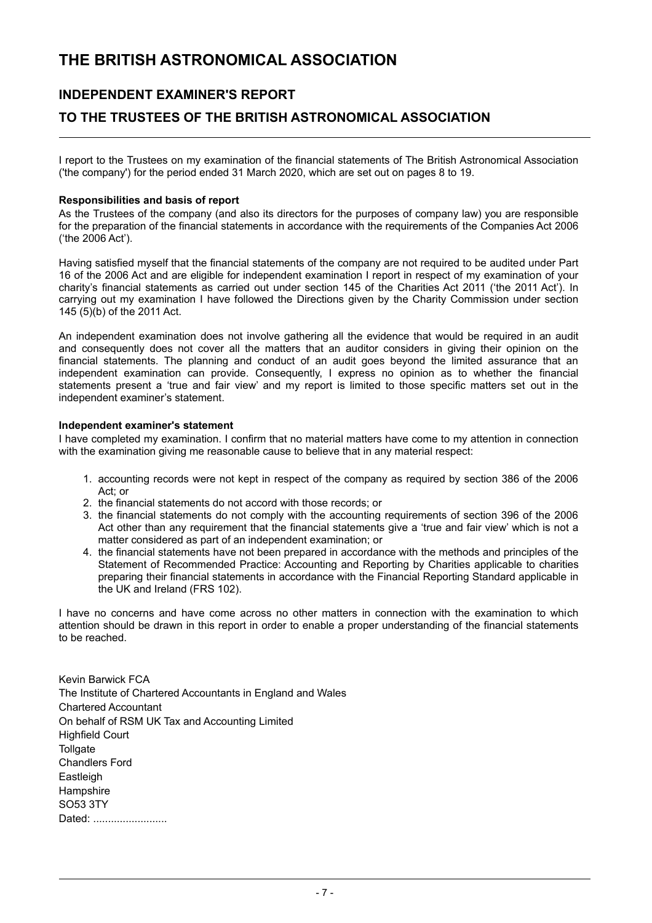### **INDEPENDENT EXAMINER'S REPORT**

### **TO THE TRUSTEES OF THE BRITISH ASTRONOMICAL ASSOCIATION**

I report to the Trustees on my examination of the financial statements of The British Astronomical Association ('the company') for the period ended 31 March 2020, which are set out on pages 8 to 19.

#### **Responsibilities and basis of report**

As the Trustees of the company (and also its directors for the purposes of company law) you are responsible for the preparation of the financial statements in accordance with the requirements of the Companies Act 2006 ('the 2006 Act').

Having satisfied myself that the financial statements of the company are not required to be audited under Part 16 of the 2006 Act and are eligible for independent examination I report in respect of my examination of your charity's financial statements as carried out under section 145 of the Charities Act 2011 ('the 2011 Act'). In carrying out my examination I have followed the Directions given by the Charity Commission under section 145 (5)(b) of the 2011 Act.

An independent examination does not involve gathering all the evidence that would be required in an audit and consequently does not cover all the matters that an auditor considers in giving their opinion on the financial statements. The planning and conduct of an audit goes beyond the limited assurance that an independent examination can provide. Consequently, I express no opinion as to whether the financial statements present a 'true and fair view' and my report is limited to those specific matters set out in the independent examiner's statement.

#### **Independent examiner's statement**

I have completed my examination. I confirm that no material matters have come to my attention in connection with the examination giving me reasonable cause to believe that in any material respect:

- 1. accounting records were not kept in respect of the company as required by section 386 of the 2006 Act; or
- 2. the financial statements do not accord with those records; or
- 3. the financial statements do not comply with the accounting requirements of section 396 of the 2006 Act other than any requirement that the financial statements give a 'true and fair view' which is not a matter considered as part of an independent examination; or
- 4. the financial statements have not been prepared in accordance with the methods and principles of the Statement of Recommended Practice: Accounting and Reporting by Charities applicable to charities preparing their financial statements in accordance with the Financial Reporting Standard applicable in the UK and Ireland (FRS 102).

I have no concerns and have come across no other matters in connection with the examination to which attention should be drawn in this report in order to enable a proper understanding of the financial statements to be reached.

Kevin Barwick FCA The Institute of Chartered Accountants in England and Wales Chartered Accountant On behalf of RSM UK Tax and Accounting Limited Highfield Court **Tollgate** Chandlers Ford Eastleigh **Hampshire** SO53 3TY Dated: ...........................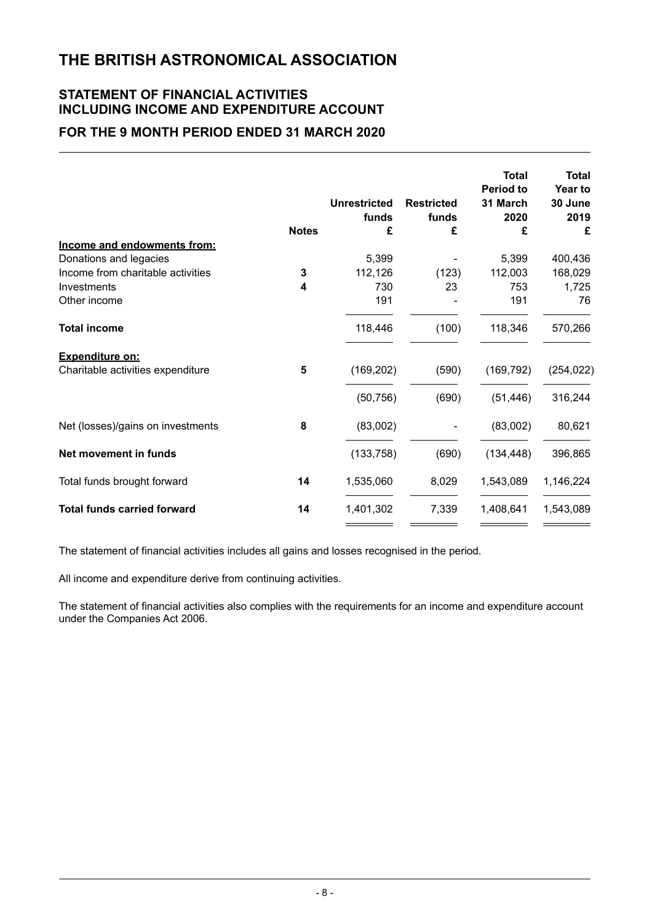### **STATEMENT OF FINANCIAL ACTIVITIES INCLUDING INCOME AND EXPENDITURE ACCOUNT**

### **FOR THE 9 MONTH PERIOD ENDED 31 MARCH 2020**

|                                    | <b>Notes</b> | <b>Unrestricted</b><br>funds<br>£ | <b>Restricted</b><br>funds<br>£ | <b>Total</b><br><b>Period to</b><br>31 March<br>2020<br>£ | <b>Total</b><br>Year to<br>30 June<br>2019<br>£ |
|------------------------------------|--------------|-----------------------------------|---------------------------------|-----------------------------------------------------------|-------------------------------------------------|
| Income and endowments from:        |              |                                   |                                 |                                                           |                                                 |
| Donations and legacies             |              | 5,399                             |                                 | 5,399                                                     | 400,436                                         |
| Income from charitable activities  | 3            | 112,126                           | (123)                           | 112,003                                                   | 168,029                                         |
| Investments                        | 4            | 730                               | 23                              | 753                                                       | 1,725                                           |
| Other income                       |              | 191                               |                                 | 191                                                       | 76                                              |
| <b>Total income</b>                |              | 118,446                           | (100)                           | 118,346                                                   | 570,266                                         |
| <b>Expenditure on:</b>             |              |                                   |                                 |                                                           |                                                 |
| Charitable activities expenditure  | 5            | (169, 202)                        | (590)                           | (169, 792)                                                | (254, 022)                                      |
|                                    |              | (50, 756)                         | (690)                           | (51, 446)                                                 | 316,244                                         |
| Net (losses)/gains on investments  | 8            | (83,002)                          |                                 | (83,002)                                                  | 80,621                                          |
| Net movement in funds              |              | (133, 758)                        | (690)                           | (134, 448)                                                | 396,865                                         |
| Total funds brought forward        | 14           | 1,535,060                         | 8,029                           | 1,543,089                                                 | 1,146,224                                       |
| <b>Total funds carried forward</b> | 14           | 1,401,302                         | 7,339                           | 1,408,641                                                 | 1,543,089                                       |
|                                    |              |                                   |                                 |                                                           |                                                 |

The statement of financial activities includes all gains and losses recognised in the period.

All income and expenditure derive from continuing activities.

The statement of financial activities also complies with the requirements for an income and expenditure account under the Companies Act 2006.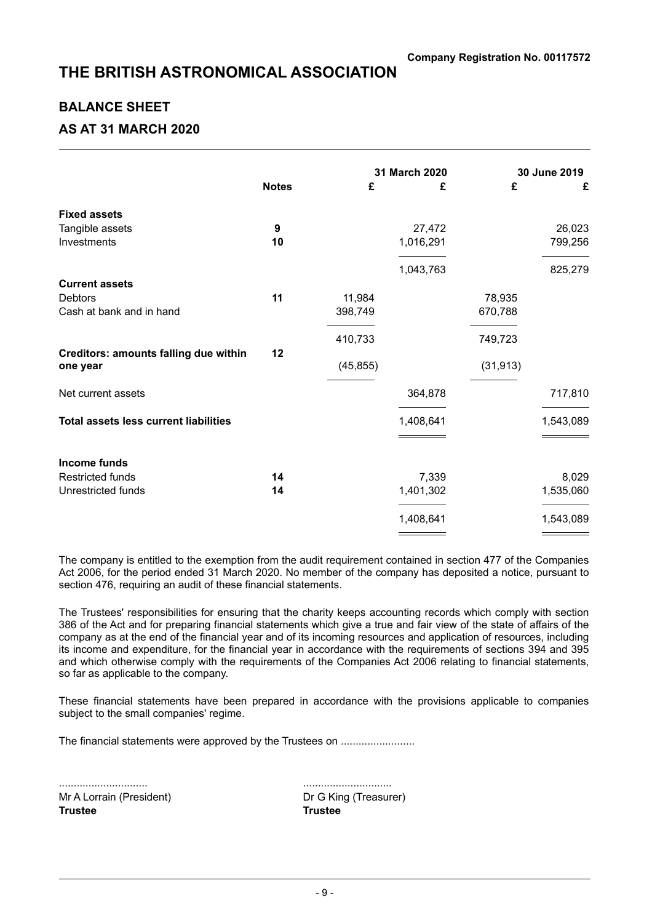### **BALANCE SHEET**

### **AS AT 31 MARCH 2020**

|                                              |              |           | 31 March 2020 | 30 June 2019 |           |
|----------------------------------------------|--------------|-----------|---------------|--------------|-----------|
|                                              | <b>Notes</b> | £         | £             | £            | £         |
| <b>Fixed assets</b>                          |              |           |               |              |           |
| Tangible assets                              | 9            |           | 27,472        |              | 26,023    |
| Investments                                  | 10           |           | 1,016,291     |              | 799,256   |
|                                              |              |           | 1,043,763     |              | 825,279   |
| <b>Current assets</b>                        |              |           |               |              |           |
| <b>Debtors</b>                               | 11           | 11,984    |               | 78,935       |           |
| Cash at bank and in hand                     |              | 398,749   |               | 670,788      |           |
|                                              |              | 410,733   |               | 749,723      |           |
| <b>Creditors: amounts falling due within</b> | 12           |           |               |              |           |
| one year                                     |              | (45, 855) |               | (31, 913)    |           |
| Net current assets                           |              |           | 364,878       |              | 717,810   |
| <b>Total assets less current liabilities</b> |              |           | 1,408,641     |              | 1,543,089 |
|                                              |              |           |               |              |           |
| <b>Income funds</b>                          |              |           |               |              |           |
| <b>Restricted funds</b>                      | 14           |           | 7,339         |              | 8,029     |
| Unrestricted funds                           | 14           |           | 1,401,302     |              | 1,535,060 |
|                                              |              |           | 1,408,641     |              | 1,543,089 |
|                                              |              |           |               |              |           |

The company is entitled to the exemption from the audit requirement contained in section 477 of the Companies Act 2006, for the period ended 31 March 2020. No member of the company has deposited a notice, pursuant to section 476, requiring an audit of these financial statements.

The Trustees' responsibilities for ensuring that the charity keeps accounting records which comply with section 386 of the Act and for preparing financial statements which give a true and fair view of the state of affairs of the company as at the end of the financial year and of its incoming resources and application of resources, including its income and expenditure, for the financial year in accordance with the requirements of sections 394 and 395 and which otherwise comply with the requirements of the Companies Act 2006 relating to financial statements, so far as applicable to the company.

These financial statements have been prepared in accordance with the provisions applicable to companies subject to the small companies' regime.

The financial statements were approved by the Trustees on .........................

.............................. .............................. Mr A Lorrain (President) Dr G King (Treasurer) **Trustee Trustee**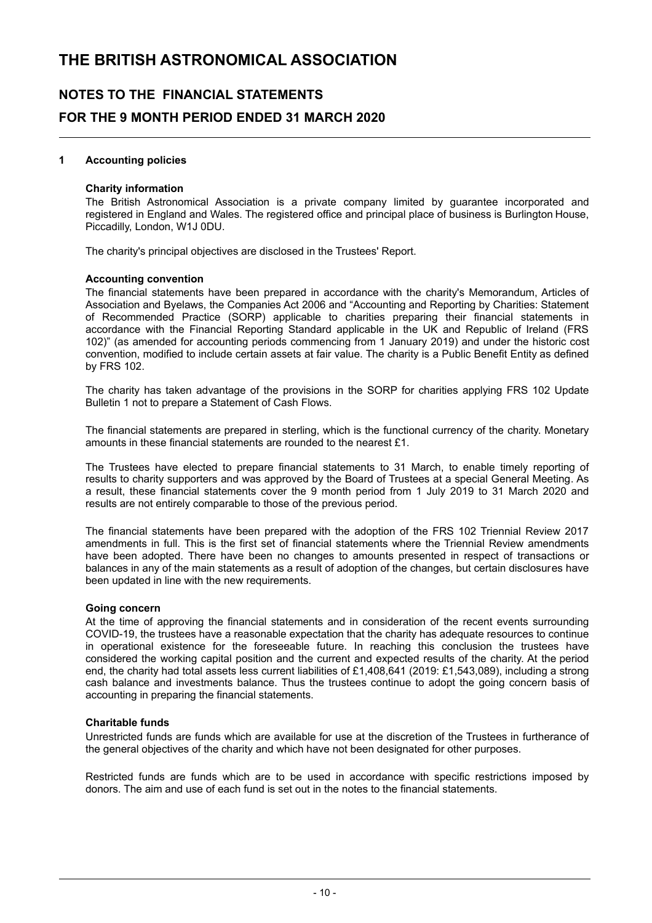### **NOTES TO THE FINANCIAL STATEMENTS FOR THE 9 MONTH PERIOD ENDED 31 MARCH 2020**

#### **1 Accounting policies**

#### **Charity information**

The British Astronomical Association is a private company limited by guarantee incorporated and registered in England and Wales. The registered office and principal place of business is Burlington House, Piccadilly, London, W1J 0DU.

The charity's principal objectives are disclosed in the Trustees' Report.

#### **Accounting convention**

The financial statements have been prepared in accordance with the charity's Memorandum, Articles of Association and Byelaws, the Companies Act 2006 and "Accounting and Reporting by Charities: Statement of Recommended Practice (SORP) applicable to charities preparing their financial statements in accordance with the Financial Reporting Standard applicable in the UK and Republic of Ireland (FRS 102)" (as amended for accounting periods commencing from 1 January 2019) and under the historic cost convention, modified to include certain assets at fair value. The charity is a Public Benefit Entity as defined by FRS 102.

The charity has taken advantage of the provisions in the SORP for charities applying FRS 102 Update Bulletin 1 not to prepare a Statement of Cash Flows.

The financial statements are prepared in sterling, which is the functional currency of the charity. Monetary amounts in these financial statements are rounded to the nearest £1.

The Trustees have elected to prepare financial statements to 31 March, to enable timely reporting of results to charity supporters and was approved by the Board of Trustees at a special General Meeting. As a result, these financial statements cover the 9 month period from 1 July 2019 to 31 March 2020 and results are not entirely comparable to those of the previous period.

The financial statements have been prepared with the adoption of the FRS 102 Triennial Review 2017 amendments in full. This is the first set of financial statements where the Triennial Review amendments have been adopted. There have been no changes to amounts presented in respect of transactions or balances in any of the main statements as a result of adoption of the changes, but certain disclosures have been updated in line with the new requirements.

#### **Going concern**

At the time of approving the financial statements and in consideration of the recent events surrounding COVID-19, the trustees have a reasonable expectation that the charity has adequate resources to continue in operational existence for the foreseeable future. In reaching this conclusion the trustees have considered the working capital position and the current and expected results of the charity. At the period end, the charity had total assets less current liabilities of £1,408,641 (2019: £1,543,089), including a strong cash balance and investments balance. Thus the trustees continue to adopt the going concern basis of accounting in preparing the financial statements.

#### **Charitable funds**

Unrestricted funds are funds which are available for use at the discretion of the Trustees in furtherance of the general objectives of the charity and which have not been designated for other purposes.

Restricted funds are funds which are to be used in accordance with specific restrictions imposed by donors. The aim and use of each fund is set out in the notes to the financial statements.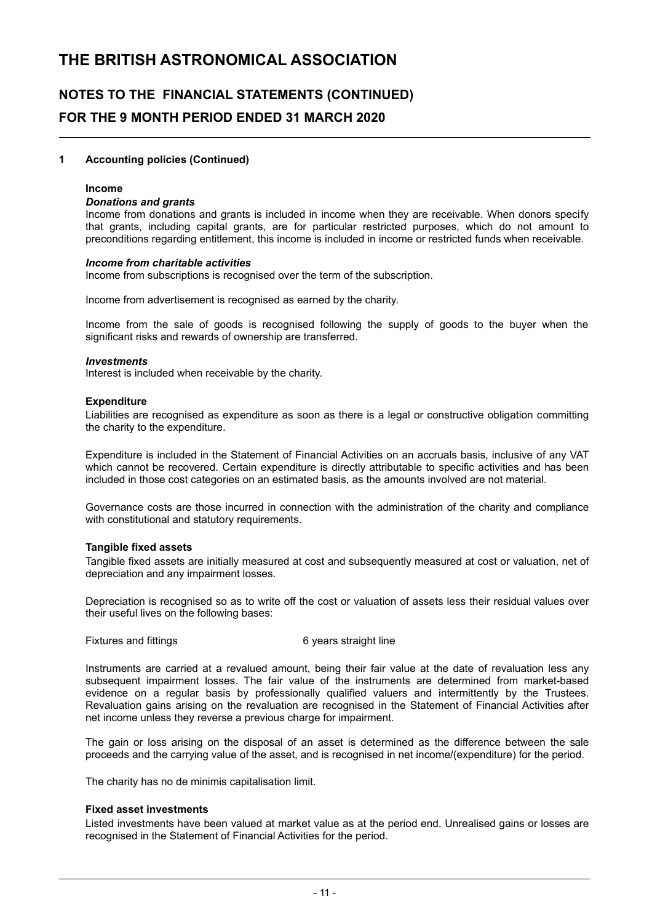# **NOTES TO THE FINANCIAL STATEMENTS (CONTINUED) FOR THE 9 MONTH PERIOD ENDED 31 MARCH 2020**

#### **1 Accounting policies (Continued)**

#### **Income**

#### *Donations and grants*

Income from donations and grants is included in income when they are receivable. When donors specify that grants, including capital grants, are for particular restricted purposes, which do not amount to preconditions regarding entitlement, this income is included in income or restricted funds when receivable.

#### *Income from charitable activities*

Income from subscriptions is recognised over the term of the subscription.

Income from advertisement is recognised as earned by the charity.

Income from the sale of goods is recognised following the supply of goods to the buyer when the significant risks and rewards of ownership are transferred.

#### *Investments*

Interest is included when receivable by the charity.

#### **Expenditure**

Liabilities are recognised as expenditure as soon as there is a legal or constructive obligation committing the charity to the expenditure.

Expenditure is included in the Statement of Financial Activities on an accruals basis, inclusive of any VAT which cannot be recovered. Certain expenditure is directly attributable to specific activities and has been included in those cost categories on an estimated basis, as the amounts involved are not material.

Governance costs are those incurred in connection with the administration of the charity and compliance with constitutional and statutory requirements.

#### **Tangible fixed assets**

Tangible fixed assets are initially measured at cost and subsequently measured at cost or valuation, net of depreciation and any impairment losses.

Depreciation is recognised so as to write off the cost or valuation of assets less their residual values over their useful lives on the following bases:

Fixtures and fittings **6** years straight line

Instruments are carried at a revalued amount, being their fair value at the date of revaluation less any subsequent impairment losses. The fair value of the instruments are determined from market-based evidence on a regular basis by professionally qualified valuers and intermittently by the Trustees. Revaluation gains arising on the revaluation are recognised in the Statement of Financial Activities after net income unless they reverse a previous charge for impairment.

The gain or loss arising on the disposal of an asset is determined as the difference between the sale proceeds and the carrying value of the asset, and is recognised in net income/(expenditure) for the period.

The charity has no de minimis capitalisation limit.

#### **Fixed asset investments**

Listed investments have been valued at market value as at the period end. Unrealised gains or losses are recognised in the Statement of Financial Activities for the period.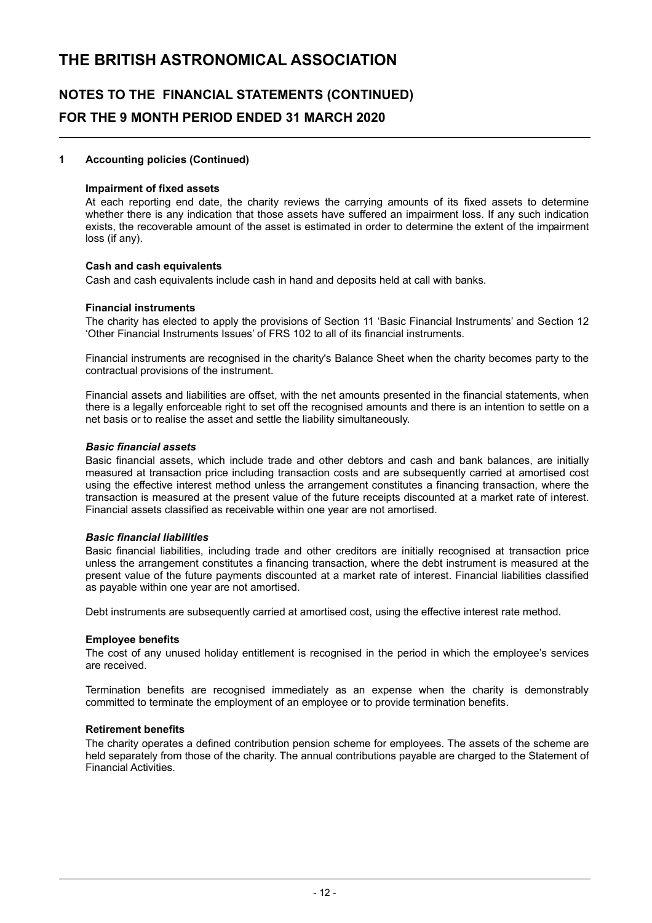# **NOTES TO THE FINANCIAL STATEMENTS (CONTINUED) FOR THE 9 MONTH PERIOD ENDED 31 MARCH 2020**

#### **1 Accounting policies (Continued)**

#### **Impairment of fixed assets**

At each reporting end date, the charity reviews the carrying amounts of its fixed assets to determine whether there is any indication that those assets have suffered an impairment loss. If any such indication exists, the recoverable amount of the asset is estimated in order to determine the extent of the impairment loss (if any).

#### **Cash and cash equivalents**

Cash and cash equivalents include cash in hand and deposits held at call with banks.

#### **Financial instruments**

The charity has elected to apply the provisions of Section 11 'Basic Financial Instruments' and Section 12 'Other Financial Instruments Issues' of FRS 102 to all of its financial instruments.

Financial instruments are recognised in the charity's Balance Sheet when the charity becomes party to the contractual provisions of the instrument.

Financial assets and liabilities are offset, with the net amounts presented in the financial statements, when there is a legally enforceable right to set off the recognised amounts and there is an intention to settle on a net basis or to realise the asset and settle the liability simultaneously.

#### *Basic financial assets*

Basic financial assets, which include trade and other debtors and cash and bank balances, are initially measured at transaction price including transaction costs and are subsequently carried at amortised cost using the effective interest method unless the arrangement constitutes a financing transaction, where the transaction is measured at the present value of the future receipts discounted at a market rate of interest. Financial assets classified as receivable within one year are not amortised.

#### *Basic financial liabilities*

Basic financial liabilities, including trade and other creditors are initially recognised at transaction price unless the arrangement constitutes a financing transaction, where the debt instrument is measured at the present value of the future payments discounted at a market rate of interest. Financial liabilities classified as payable within one year are not amortised.

Debt instruments are subsequently carried at amortised cost, using the effective interest rate method.

#### **Employee benefits**

The cost of any unused holiday entitlement is recognised in the period in which the employee's services are received.

Termination benefits are recognised immediately as an expense when the charity is demonstrably committed to terminate the employment of an employee or to provide termination benefits.

#### **Retirement benefits**

The charity operates a defined contribution pension scheme for employees. The assets of the scheme are held separately from those of the charity. The annual contributions payable are charged to the Statement of Financial Activities.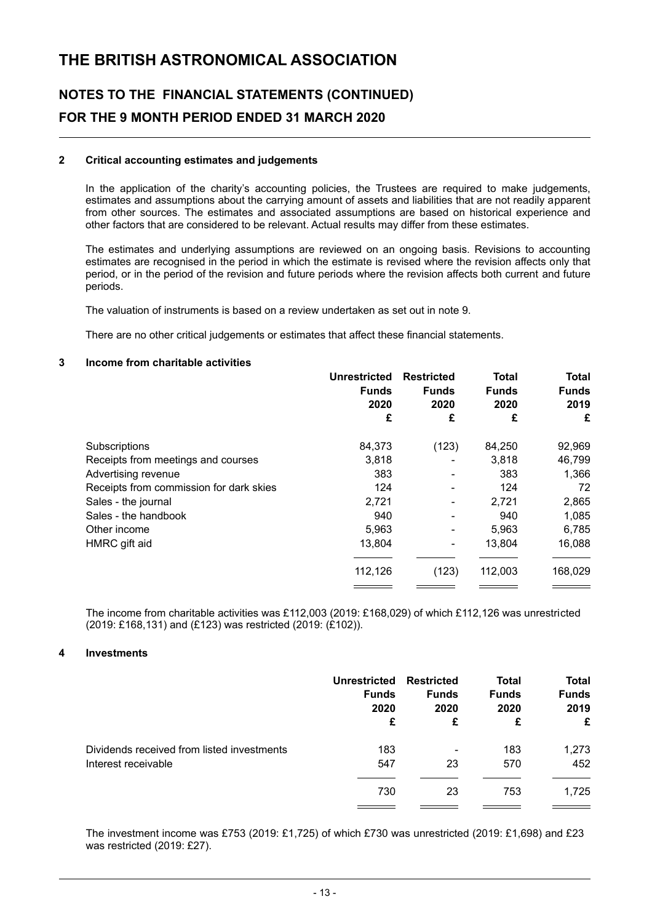### **NOTES TO THE FINANCIAL STATEMENTS (CONTINUED) FOR THE 9 MONTH PERIOD ENDED 31 MARCH 2020**

#### **2 Critical accounting estimates and judgements**

In the application of the charity's accounting policies, the Trustees are required to make judgements, estimates and assumptions about the carrying amount of assets and liabilities that are not readily apparent from other sources. The estimates and associated assumptions are based on historical experience and other factors that are considered to be relevant. Actual results may differ from these estimates.

The estimates and underlying assumptions are reviewed on an ongoing basis. Revisions to accounting estimates are recognised in the period in which the estimate is revised where the revision affects only that period, or in the period of the revision and future periods where the revision affects both current and future periods.

The valuation of instruments is based on a review undertaken as set out in note 9.

There are no other critical judgements or estimates that affect these financial statements.

#### **3 Income from charitable activities**

|                                         | <b>Unrestricted</b><br><b>Funds</b><br>2020 | <b>Restricted</b><br><b>Funds</b><br>2020 | Total<br><b>Funds</b><br>2020 | <b>Total</b><br><b>Funds</b><br>2019 |
|-----------------------------------------|---------------------------------------------|-------------------------------------------|-------------------------------|--------------------------------------|
|                                         | £                                           | £                                         | £                             | £                                    |
| Subscriptions                           | 84,373                                      | (123)                                     | 84,250                        | 92,969                               |
| Receipts from meetings and courses      | 3,818                                       |                                           | 3,818                         | 46,799                               |
| Advertising revenue                     | 383                                         |                                           | 383                           | 1,366                                |
| Receipts from commission for dark skies | 124                                         |                                           | 124                           | 72                                   |
| Sales - the journal                     | 2,721                                       |                                           | 2,721                         | 2,865                                |
| Sales - the handbook                    | 940                                         |                                           | 940                           | 1,085                                |
| Other income                            | 5,963                                       | ۰                                         | 5,963                         | 6,785                                |
| HMRC gift aid                           | 13,804                                      | ٠                                         | 13,804                        | 16,088                               |
|                                         | 112,126                                     | (123)                                     | 112,003                       | 168,029                              |
|                                         |                                             |                                           |                               |                                      |

The income from charitable activities was £112,003 (2019: £168,029) of which £112,126 was unrestricted (2019: £168,131) and (£123) was restricted (2019: (£102)).

#### **4 Investments**

|                                            | <b>Unrestricted</b> | <b>Restricted</b> | <b>Total</b> | <b>Total</b> |
|--------------------------------------------|---------------------|-------------------|--------------|--------------|
|                                            | <b>Funds</b>        | <b>Funds</b>      | <b>Funds</b> | <b>Funds</b> |
|                                            | 2020                | 2020              | 2020         | 2019         |
|                                            | £                   | £                 | £            | £            |
| Dividends received from listed investments | 183                 | ٠                 | 183          | 1,273        |
| Interest receivable                        | 547                 | 23                | 570          | 452          |
|                                            | 730                 | 23                | 753          | 1,725        |

The investment income was £753 (2019: £1,725) of which £730 was unrestricted (2019: £1,698) and £23 was restricted (2019: £27).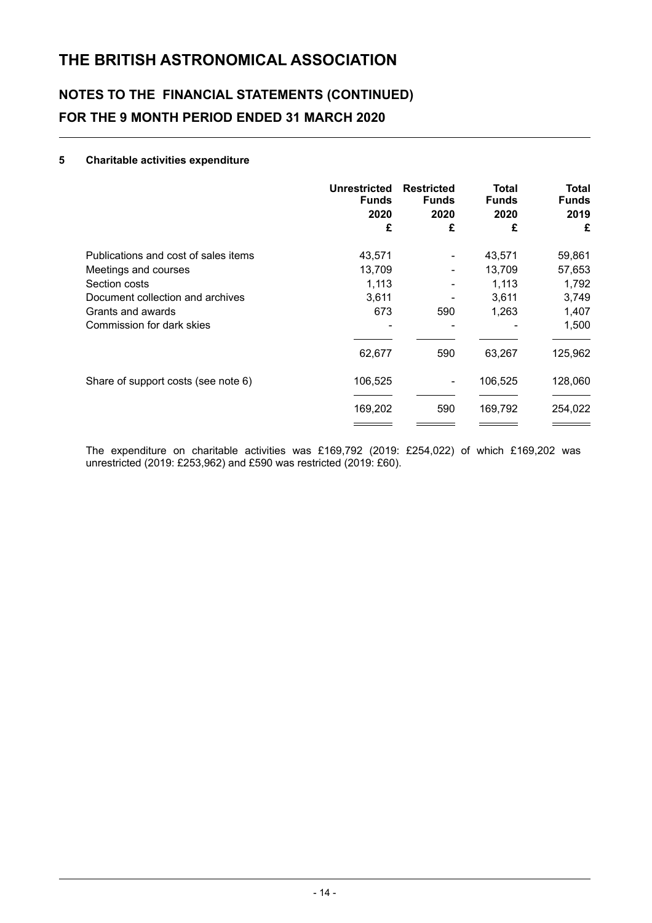# **NOTES TO THE FINANCIAL STATEMENTS (CONTINUED) FOR THE 9 MONTH PERIOD ENDED 31 MARCH 2020**

#### **5 Charitable activities expenditure**

|                                      | <b>Unrestricted</b><br><b>Funds</b><br>2020 | <b>Restricted</b><br><b>Funds</b><br>2020 | Total<br><b>Funds</b><br>2020 | Total<br><b>Funds</b><br>2019 |
|--------------------------------------|---------------------------------------------|-------------------------------------------|-------------------------------|-------------------------------|
|                                      | £                                           | £                                         | £                             | £                             |
| Publications and cost of sales items | 43,571                                      | ۰                                         | 43,571                        | 59,861                        |
| Meetings and courses                 | 13,709                                      | ۰                                         | 13,709                        | 57,653                        |
| Section costs                        | 1,113                                       |                                           | 1,113                         | 1,792                         |
| Document collection and archives     | 3,611                                       |                                           | 3,611                         | 3,749                         |
| Grants and awards                    | 673                                         | 590                                       | 1,263                         | 1,407                         |
| Commission for dark skies            |                                             |                                           |                               | 1,500                         |
|                                      | 62,677                                      | 590                                       | 63,267                        | 125,962                       |
| Share of support costs (see note 6)  | 106,525                                     | ۰                                         | 106,525                       | 128,060                       |
|                                      | 169,202                                     | 590                                       | 169,792                       | 254,022                       |
|                                      |                                             |                                           |                               |                               |

The expenditure on charitable activities was £169,792 (2019: £254,022) of which £169,202 was unrestricted (2019: £253,962) and £590 was restricted (2019: £60).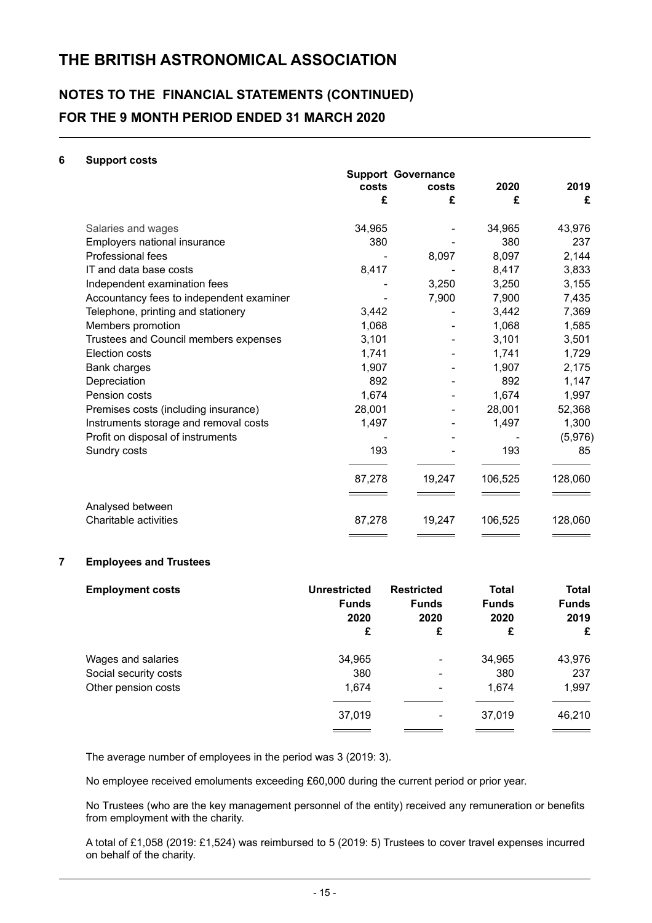### **NOTES TO THE FINANCIAL STATEMENTS (CONTINUED) FOR THE 9 MONTH PERIOD ENDED 31 MARCH 2020**

#### **6 Support costs**

|                                          |        | <b>Support Governance</b> |         |         |
|------------------------------------------|--------|---------------------------|---------|---------|
|                                          | costs  | costs                     | 2020    | 2019    |
|                                          | £      | £                         | £       | £       |
| Salaries and wages                       | 34,965 |                           | 34,965  | 43,976  |
| Employers national insurance             | 380    |                           | 380     | 237     |
| Professional fees                        |        | 8,097                     | 8,097   | 2,144   |
| IT and data base costs                   | 8,417  |                           | 8,417   | 3,833   |
| Independent examination fees             |        | 3,250                     | 3,250   | 3,155   |
| Accountancy fees to independent examiner |        | 7,900                     | 7,900   | 7,435   |
| Telephone, printing and stationery       | 3,442  |                           | 3,442   | 7,369   |
| Members promotion                        | 1,068  |                           | 1,068   | 1,585   |
| Trustees and Council members expenses    | 3,101  |                           | 3,101   | 3,501   |
| Election costs                           | 1,741  |                           | 1,741   | 1,729   |
| Bank charges                             | 1,907  |                           | 1,907   | 2,175   |
| Depreciation                             | 892    |                           | 892     | 1,147   |
| Pension costs                            | 1,674  |                           | 1,674   | 1,997   |
| Premises costs (including insurance)     | 28,001 |                           | 28,001  | 52,368  |
| Instruments storage and removal costs    | 1,497  |                           | 1,497   | 1,300   |
| Profit on disposal of instruments        |        |                           |         | (5,976) |
| Sundry costs                             | 193    |                           | 193     | 85      |
|                                          | 87,278 | 19,247                    | 106,525 | 128,060 |
| Analysed between                         |        |                           |         |         |
| Charitable activities                    | 87,278 | 19,247                    | 106,525 | 128,060 |
|                                          |        |                           |         |         |

#### **7 Employees and Trustees**

| <b>Employment costs</b> | <b>Unrestricted</b><br><b>Funds</b><br>2020<br>£ | <b>Restricted</b><br><b>Funds</b><br>2020<br>£ | <b>Total</b><br><b>Funds</b><br>2020<br>£ | <b>Total</b><br><b>Funds</b><br>2019<br>£ |
|-------------------------|--------------------------------------------------|------------------------------------------------|-------------------------------------------|-------------------------------------------|
| Wages and salaries      | 34,965                                           | ٠                                              | 34,965                                    | 43,976                                    |
| Social security costs   | 380                                              | ۰                                              | 380                                       | 237                                       |
| Other pension costs     | 1,674                                            | ٠                                              | 1,674                                     | 1,997                                     |
|                         | 37,019                                           | ٠                                              | 37,019                                    | 46,210                                    |

The average number of employees in the period was 3 (2019: 3).

No employee received emoluments exceeding £60,000 during the current period or prior year.

No Trustees (who are the key management personnel of the entity) received any remuneration or benefits from employment with the charity.

A total of £1,058 (2019: £1,524) was reimbursed to 5 (2019: 5) Trustees to cover travel expenses incurred on behalf of the charity.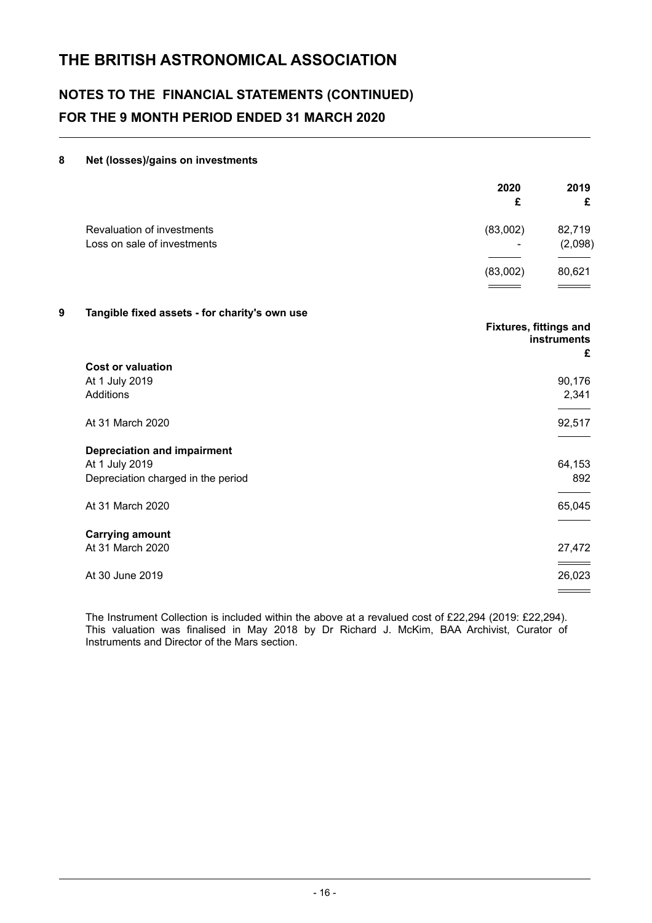# **NOTES TO THE FINANCIAL STATEMENTS (CONTINUED) FOR THE 9 MONTH PERIOD ENDED 31 MARCH 2020**

### **8 Net (losses)/gains on investments**

|                                                           | 2020<br>£     | 2019<br>£         |
|-----------------------------------------------------------|---------------|-------------------|
| Revaluation of investments<br>Loss on sale of investments | (83,002)<br>۰ | 82,719<br>(2,098) |
|                                                           |               |                   |
|                                                           | (83,002)      | 80,621            |
|                                                           |               |                   |

#### **9 Tangible fixed assets - for charity's own use**

|                                    | <b>Fixtures, fittings and</b><br><b>instruments</b> |
|------------------------------------|-----------------------------------------------------|
| <b>Cost or valuation</b>           | £                                                   |
| At 1 July 2019                     | 90,176                                              |
| Additions                          | 2,341                                               |
| At 31 March 2020                   | 92,517                                              |
| <b>Depreciation and impairment</b> |                                                     |
| At 1 July 2019                     | 64,153                                              |
| Depreciation charged in the period | 892                                                 |
| At 31 March 2020                   | 65,045                                              |
| <b>Carrying amount</b>             |                                                     |
| At 31 March 2020                   | 27,472                                              |
|                                    |                                                     |
| At 30 June 2019                    | 26,023                                              |

The Instrument Collection is included within the above at a revalued cost of £22,294 (2019: £22,294). This valuation was finalised in May 2018 by Dr Richard J. McKim, BAA Archivist, Curator of Instruments and Director of the Mars section.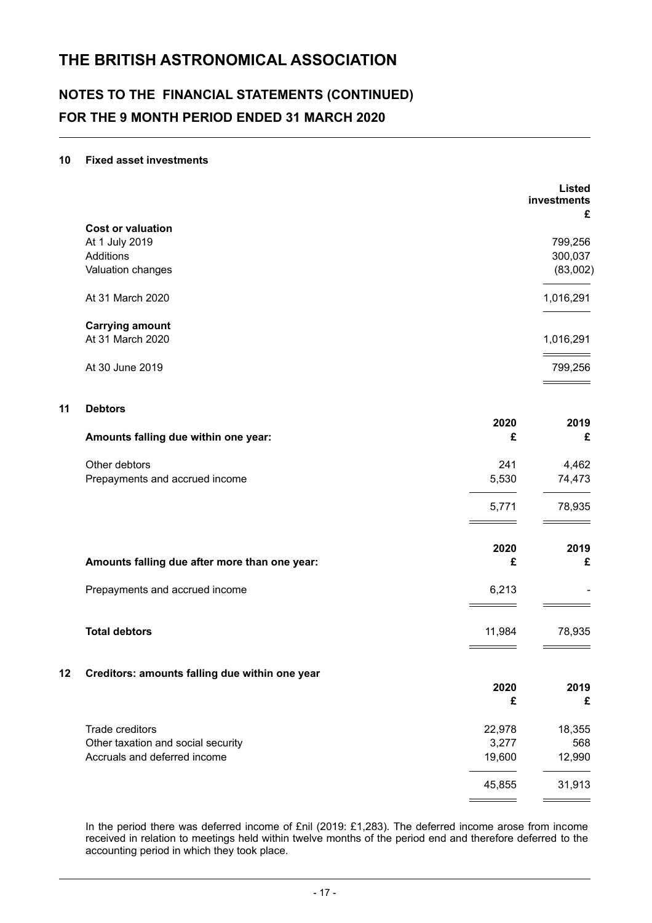# **NOTES TO THE FINANCIAL STATEMENTS (CONTINUED) FOR THE 9 MONTH PERIOD ENDED 31 MARCH 2020**

#### **10 Fixed asset investments**

|    |                                                |           | <b>Listed</b><br>investments<br>£ |
|----|------------------------------------------------|-----------|-----------------------------------|
|    | <b>Cost or valuation</b>                       |           |                                   |
|    | At 1 July 2019<br>Additions                    |           | 799,256<br>300,037                |
|    | Valuation changes                              |           | (83,002)                          |
|    | At 31 March 2020                               |           | 1,016,291                         |
|    | <b>Carrying amount</b><br>At 31 March 2020     |           |                                   |
|    |                                                |           | 1,016,291                         |
|    | At 30 June 2019                                |           | 799,256                           |
| 11 | <b>Debtors</b>                                 |           |                                   |
|    | Amounts falling due within one year:           | 2020<br>£ | 2019<br>£                         |
|    | Other debtors                                  | 241       | 4,462                             |
|    | Prepayments and accrued income                 | 5,530     | 74,473                            |
|    |                                                | 5,771     | 78,935                            |
|    |                                                | 2020      | 2019                              |
|    | Amounts falling due after more than one year:  | £         | £                                 |
|    | Prepayments and accrued income                 | 6,213     |                                   |
|    | <b>Total debtors</b>                           | 11,984    | 78,935                            |
|    |                                                |           |                                   |
| 12 | Creditors: amounts falling due within one year | 2020      | 2019                              |
|    |                                                | £         | £                                 |
|    | Trade creditors                                | 22,978    | 18,355                            |
|    | Other taxation and social security             | 3,277     | 568                               |
|    | Accruals and deferred income                   | 19,600    | 12,990                            |
|    |                                                | 45,855    | 31,913                            |
|    |                                                |           |                                   |

In the period there was deferred income of £nil (2019: £1,283). The deferred income arose from income received in relation to meetings held within twelve months of the period end and therefore deferred to the accounting period in which they took place.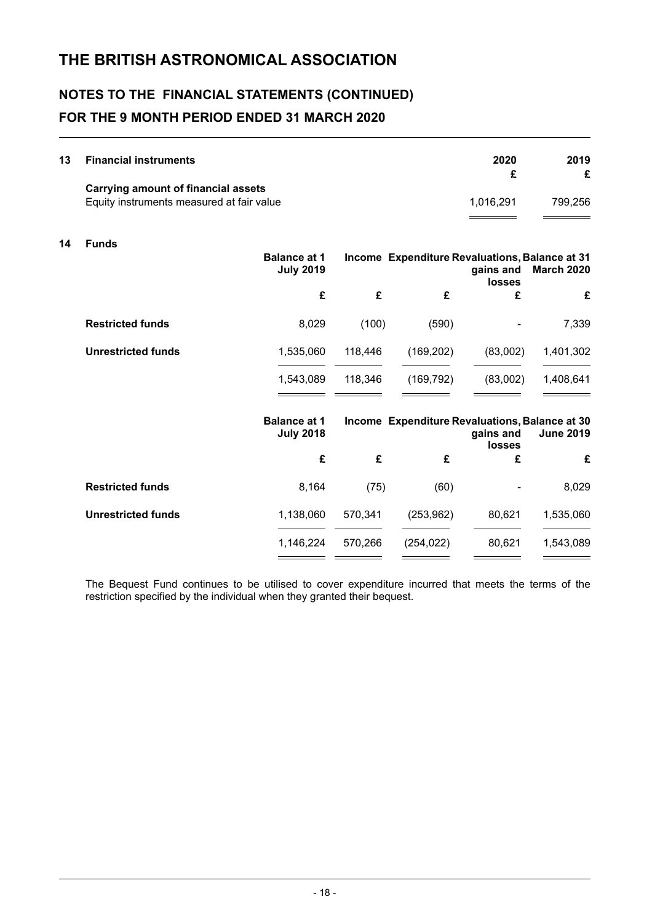# **NOTES TO THE FINANCIAL STATEMENTS (CONTINUED) FOR THE 9 MONTH PERIOD ENDED 31 MARCH 2020**

| 13 | <b>Financial instruments</b>              | 2020      | 2019    |
|----|-------------------------------------------|-----------|---------|
|    | Carrying amount of financial assets       |           |         |
|    | Equity instruments measured at fair value | 1.016.291 | 799.256 |

#### **14 Funds**

|                           | <b>Balance at 1</b><br><b>July 2019</b> |         | Income Expenditure Revaluations, Balance at 31 | gains and<br><b>losses</b>                                                                       | <b>March 2020</b> |
|---------------------------|-----------------------------------------|---------|------------------------------------------------|--------------------------------------------------------------------------------------------------|-------------------|
|                           | £                                       | £       | £                                              | £                                                                                                | £                 |
| <b>Restricted funds</b>   | 8,029                                   | (100)   | (590)                                          |                                                                                                  | 7,339             |
| <b>Unrestricted funds</b> | 1,535,060                               | 118,446 | (169, 202)                                     | (83,002)                                                                                         | 1,401,302         |
|                           | 1,543,089                               | 118,346 | (169, 792)                                     | (83,002)                                                                                         | 1,408,641         |
|                           | <b>Balance at 1</b><br><b>July 2018</b> |         |                                                | Income Expenditure Revaluations, Balance at 30<br><b>June 2019</b><br>gains and<br><b>losses</b> |                   |
|                           | £                                       | £       | £                                              | £                                                                                                | £                 |
| <b>Restricted funds</b>   | 8,164                                   | (75)    | (60)                                           |                                                                                                  | 8,029             |
| <b>Unrestricted funds</b> | 1,138,060                               | 570,341 | (253, 962)                                     | 80,621                                                                                           | 1,535,060         |
|                           | 1,146,224                               | 570,266 | (254, 022)                                     | 80,621                                                                                           | 1,543,089         |

The Bequest Fund continues to be utilised to cover expenditure incurred that meets the terms of the restriction specified by the individual when they granted their bequest.